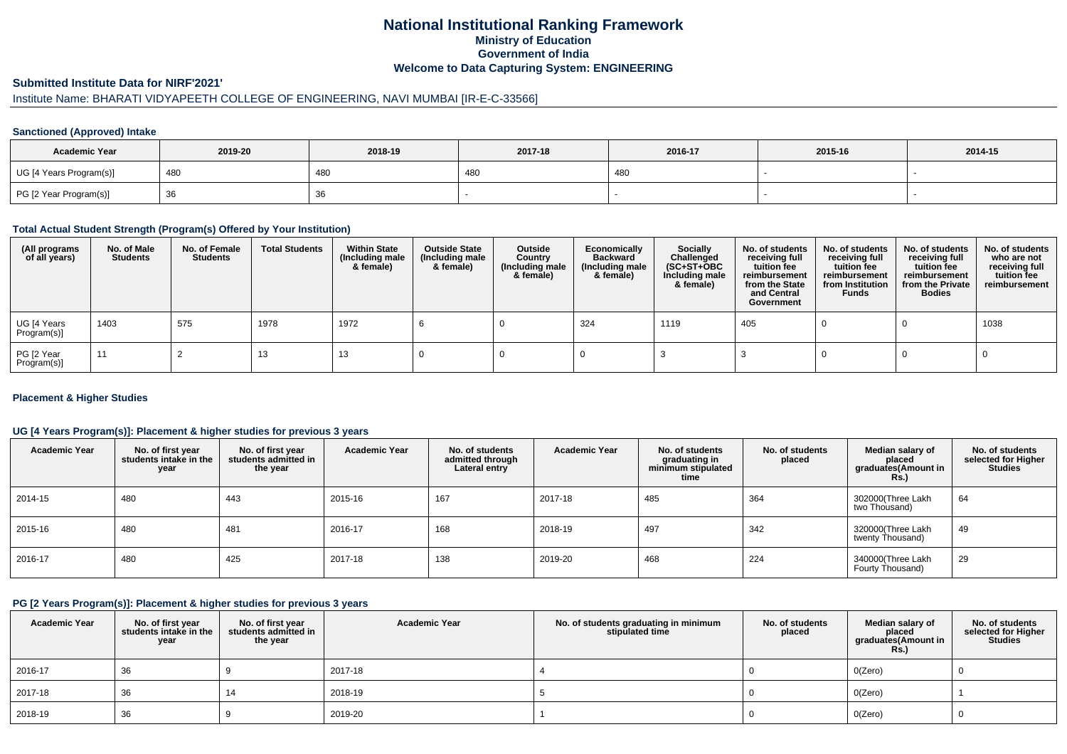### **National Institutional Ranking FrameworkMinistry of Education Government of IndiaWelcome to Data Capturing System: ENGINEERING**

## **Submitted Institute Data for NIRF'2021'**

## Institute Name: BHARATI VIDYAPEETH COLLEGE OF ENGINEERING, NAVI MUMBAI [IR-E-C-33566]

#### **Sanctioned (Approved) Intake**

| <b>Academic Year</b>    | 2019-20 | 2018-19 | 2017-18 | 2016-17 | 2015-16 | 2014-15 |
|-------------------------|---------|---------|---------|---------|---------|---------|
| UG [4 Years Program(s)] | 480     | 480     | 480     | 480     |         |         |
| PG [2 Year Program(s)]  | ັບບ     | 36      |         |         |         |         |

#### **Total Actual Student Strength (Program(s) Offered by Your Institution)**

| (All programs<br>of all years) | No. of Male<br><b>Students</b> | No. of Female<br>Students | <b>Total Students</b> | <b>Within State</b><br>(Including male<br>& female) | <b>Outside State</b><br>(Including male<br>& female) | Outside<br>Country<br>(Including male<br>& female) | Economically<br><b>Backward</b><br>(Including male<br>& female) | <b>Socially</b><br>Challenged<br>$(SC+ST+OBC)$<br>Including male<br>& female) | No. of students<br>receiving full<br>tuition fee<br>reimbursement<br>from the State<br>and Central<br>Government | No. of students<br>receiving full<br>tuition fee<br>reimbursement<br>from Institution<br><b>Funds</b> | No. of students<br>receiving full<br>tuition fee<br>reimbursement<br>from the Private<br><b>Bodies</b> | No. of students<br>who are not<br>receiving full<br>tuition fee<br>reimbursement |
|--------------------------------|--------------------------------|---------------------------|-----------------------|-----------------------------------------------------|------------------------------------------------------|----------------------------------------------------|-----------------------------------------------------------------|-------------------------------------------------------------------------------|------------------------------------------------------------------------------------------------------------------|-------------------------------------------------------------------------------------------------------|--------------------------------------------------------------------------------------------------------|----------------------------------------------------------------------------------|
| UG [4 Years<br>Program(s)]     | 1403                           | 575                       | 1978                  | 1972                                                |                                                      |                                                    | 324                                                             | 1119                                                                          | 405                                                                                                              |                                                                                                       |                                                                                                        | 1038                                                                             |
| PG [2 Year<br>Program(s)]      | 11                             |                           | 13                    | 13                                                  |                                                      |                                                    |                                                                 |                                                                               |                                                                                                                  |                                                                                                       |                                                                                                        |                                                                                  |

#### **Placement & Higher Studies**

#### **UG [4 Years Program(s)]: Placement & higher studies for previous 3 years**

| <b>Academic Year</b> | No. of first year<br>students intake in the<br>year | No. of first vear<br>students admitted in<br>the year | <b>Academic Year</b> | No. of students<br>admitted through<br>Lateral entry | <b>Academic Year</b> | No. of students<br>graduating in<br>minimum stipulated<br>time | No. of students<br>placed | Median salary of<br>placed<br>graduates(Amount in<br><b>Rs.</b> ) | No. of students<br>selected for Higher<br><b>Studies</b> |
|----------------------|-----------------------------------------------------|-------------------------------------------------------|----------------------|------------------------------------------------------|----------------------|----------------------------------------------------------------|---------------------------|-------------------------------------------------------------------|----------------------------------------------------------|
| 2014-15              | 480                                                 | 443                                                   | 2015-16              | 167                                                  | 2017-18              | 485                                                            | 364                       | 302000(Three Lakh<br>two Thousand)                                | 64                                                       |
| 2015-16              | 480                                                 | 481                                                   | 2016-17              | 168                                                  | 2018-19              | 497                                                            | 342                       | 320000(Three Lakh<br>twenty Thousand)                             | 49                                                       |
| 2016-17              | 480                                                 | 425                                                   | 2017-18              | 138                                                  | 2019-20              | 468                                                            | 224                       | 340000(Three Lakh<br>Fourty Thousand)                             | 29                                                       |

#### **PG [2 Years Program(s)]: Placement & higher studies for previous 3 years**

| <b>Academic Year</b> | No. of first year<br>students intake in the<br>year | No. of first year<br>students admitted in<br>the year | <b>Academic Year</b> | No. of students graduating in minimum<br>stipulated time | No. of students<br>placed | Median salary of<br>placed<br>graduates(Amount in<br><b>Rs.)</b> | No. of students<br>selected for Higher<br><b>Studies</b> |
|----------------------|-----------------------------------------------------|-------------------------------------------------------|----------------------|----------------------------------------------------------|---------------------------|------------------------------------------------------------------|----------------------------------------------------------|
| 2016-17              | 36                                                  |                                                       | 2017-18              |                                                          |                           | O(Zero)                                                          |                                                          |
| 2017-18              | 36                                                  | 14                                                    | 2018-19              |                                                          |                           | O(Zero)                                                          |                                                          |
| 2018-19              | 36                                                  |                                                       | 2019-20              |                                                          |                           | O(Zero)                                                          |                                                          |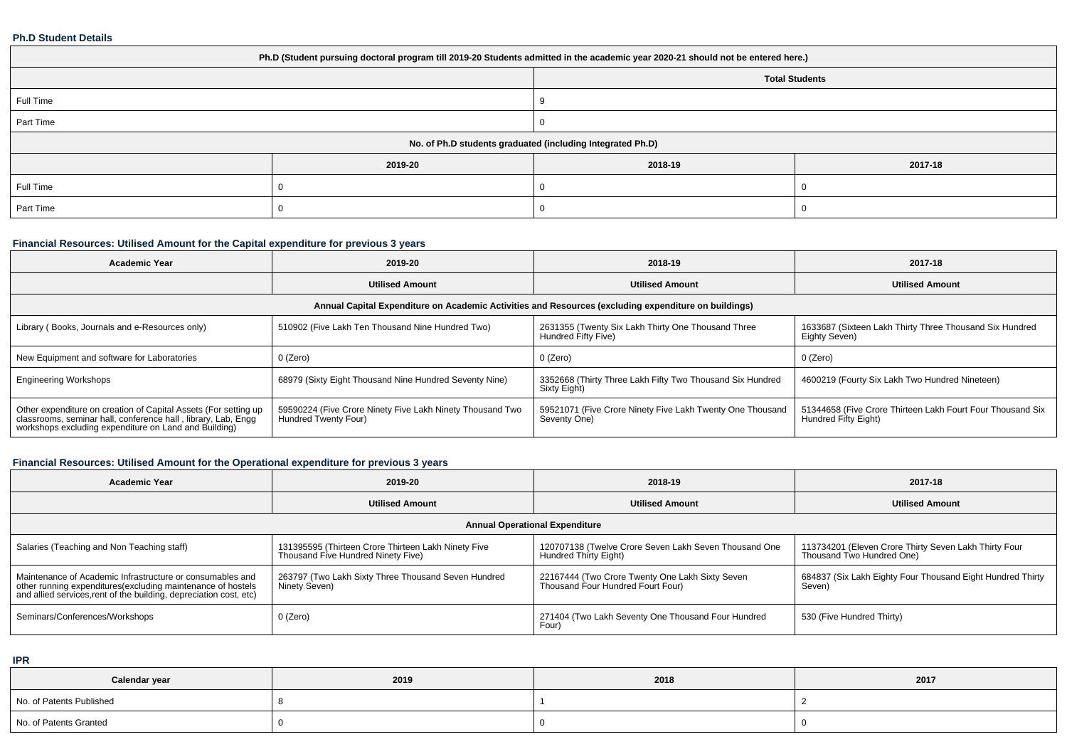#### **Ph.D Student Details**

| Ph.D (Student pursuing doctoral program till 2019-20 Students admitted in the academic year 2020-21 should not be entered here.) |         |                                                            |         |  |  |  |  |
|----------------------------------------------------------------------------------------------------------------------------------|---------|------------------------------------------------------------|---------|--|--|--|--|
|                                                                                                                                  |         | <b>Total Students</b>                                      |         |  |  |  |  |
| Full Time                                                                                                                        |         |                                                            |         |  |  |  |  |
| Part Time                                                                                                                        |         |                                                            |         |  |  |  |  |
|                                                                                                                                  |         | No. of Ph.D students graduated (including Integrated Ph.D) |         |  |  |  |  |
|                                                                                                                                  | 2019-20 | 2018-19                                                    | 2017-18 |  |  |  |  |
| Full Time                                                                                                                        |         |                                                            |         |  |  |  |  |
| Part Time                                                                                                                        |         |                                                            |         |  |  |  |  |

# **Financial Resources: Utilised Amount for the Capital expenditure for previous 3 years**

| <b>Academic Year</b>                                                                                                                                                                   | 2019-20                                                                           | 2018-19                                                                   | 2017-18                                                                            |  |  |  |  |  |
|----------------------------------------------------------------------------------------------------------------------------------------------------------------------------------------|-----------------------------------------------------------------------------------|---------------------------------------------------------------------------|------------------------------------------------------------------------------------|--|--|--|--|--|
|                                                                                                                                                                                        | <b>Utilised Amount</b>                                                            | <b>Utilised Amount</b>                                                    | <b>Utilised Amount</b>                                                             |  |  |  |  |  |
| Annual Capital Expenditure on Academic Activities and Resources (excluding expenditure on buildings)                                                                                   |                                                                                   |                                                                           |                                                                                    |  |  |  |  |  |
| Library (Books, Journals and e-Resources only)                                                                                                                                         | 510902 (Five Lakh Ten Thousand Nine Hundred Two)                                  | 2631355 (Twenty Six Lakh Thirty One Thousand Three<br>Hundred Fifty Five) | 1633687 (Sixteen Lakh Thirty Three Thousand Six Hundred<br>Eighty Seven)           |  |  |  |  |  |
| New Equipment and software for Laboratories                                                                                                                                            | 0 (Zero)                                                                          | 0 (Zero)                                                                  | 0 (Zero)                                                                           |  |  |  |  |  |
| <b>Engineering Workshops</b>                                                                                                                                                           | 68979 (Sixty Eight Thousand Nine Hundred Seventy Nine)                            | 3352668 (Thirty Three Lakh Fifty Two Thousand Six Hundred<br>Sixty Eight) | 4600219 (Fourty Six Lakh Two Hundred Nineteen)                                     |  |  |  |  |  |
| Other expenditure on creation of Capital Assets (For setting up classrooms, seminar hall, conference hall, library, Lab, Engg<br>workshops excluding expenditure on Land and Building) | 59590224 (Five Crore Ninety Five Lakh Ninety Thousand Two<br>Hundred Twenty Four) | 59521071 (Five Crore Ninety Five Lakh Twenty One Thousand<br>Seventy One) | 51344658 (Five Crore Thirteen Lakh Fourt Four Thousand Six<br>Hundred Fifty Eight) |  |  |  |  |  |

# **Financial Resources: Utilised Amount for the Operational expenditure for previous 3 years**

| <b>Academic Year</b>                                                                                                                                                                            | 2019-20                                                                                   | 2018-19                                                                              | 2017-18                                                                            |  |
|-------------------------------------------------------------------------------------------------------------------------------------------------------------------------------------------------|-------------------------------------------------------------------------------------------|--------------------------------------------------------------------------------------|------------------------------------------------------------------------------------|--|
|                                                                                                                                                                                                 | <b>Utilised Amount</b>                                                                    | <b>Utilised Amount</b>                                                               | <b>Utilised Amount</b>                                                             |  |
|                                                                                                                                                                                                 |                                                                                           | <b>Annual Operational Expenditure</b>                                                |                                                                                    |  |
| Salaries (Teaching and Non Teaching staff)                                                                                                                                                      | 131395595 (Thirteen Crore Thirteen Lakh Ninety Five<br>Thousand Five Hundred Ninety Five) | 120707138 (Twelve Crore Seven Lakh Seven Thousand One<br>Hundred Thirty Eight)       | 113734201 (Eleven Crore Thirty Seven Lakh Thirty Four<br>Thousand Two Hundred One) |  |
| Maintenance of Academic Infrastructure or consumables and<br>other running expenditures (excluding maintenance of hostels<br>and allied services, rent of the building, depreciation cost, etc) | 263797 (Two Lakh Sixty Three Thousand Seven Hundred<br>Ninety Seven)                      | 22167444 (Two Crore Twenty One Lakh Sixty Seven<br>Thousand Four Hundred Fourt Four) | 684837 (Six Lakh Eighty Four Thousand Eight Hundred Thirty<br>Seven)               |  |
| Seminars/Conferences/Workshops                                                                                                                                                                  | 0 (Zero)                                                                                  | 271404 (Two Lakh Seventy One Thousand Four Hundred<br>Four)                          | 530 (Five Hundred Thirty)                                                          |  |

**IPR**

| Calendar year            | 2019 | 2018 | 2017 |
|--------------------------|------|------|------|
| No. of Patents Published |      |      |      |
| No. of Patents Granted   |      |      |      |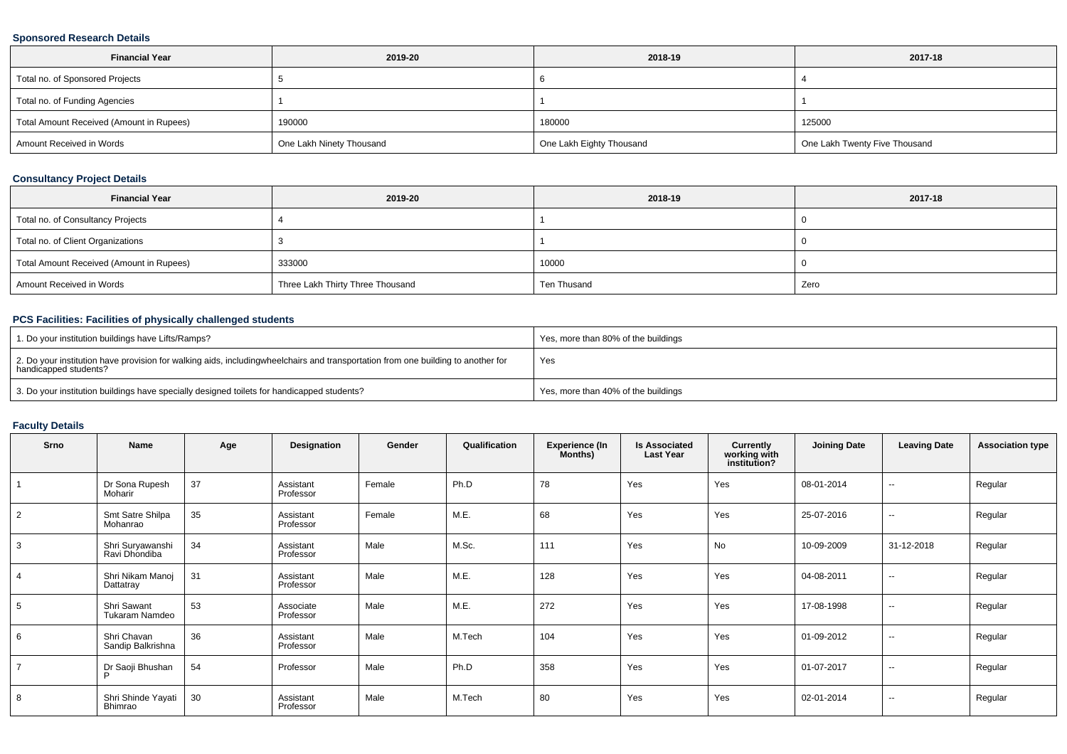### **Sponsored Research Details**

| <b>Financial Year</b>                    | 2019-20                  | 2018-19                  | 2017-18                       |
|------------------------------------------|--------------------------|--------------------------|-------------------------------|
| Total no. of Sponsored Projects          |                          |                          |                               |
| Total no. of Funding Agencies            |                          |                          |                               |
| Total Amount Received (Amount in Rupees) | 190000                   | 180000                   | 125000                        |
| Amount Received in Words                 | One Lakh Ninety Thousand | One Lakh Eighty Thousand | One Lakh Twenty Five Thousand |

### **Consultancy Project Details**

| <b>Financial Year</b>                    | 2019-20                          | 2018-19     | 2017-18 |
|------------------------------------------|----------------------------------|-------------|---------|
| Total no. of Consultancy Projects        |                                  |             |         |
| Total no. of Client Organizations        |                                  |             |         |
| Total Amount Received (Amount in Rupees) | 333000                           | 10000       |         |
| Amount Received in Words                 | Three Lakh Thirty Three Thousand | Ten Thusand | Zero    |

### **PCS Facilities: Facilities of physically challenged students**

| 1. Do your institution buildings have Lifts/Ramps?                                                                                                        | Yes, more than 80% of the buildings |
|-----------------------------------------------------------------------------------------------------------------------------------------------------------|-------------------------------------|
| 2. Do your institution have provision for walking aids, includingwheelchairs and transportation from one building to another for<br>handicapped students? | Yes                                 |
| 3. Do your institution buildings have specially designed toilets for handicapped students?                                                                | Yes, more than 40% of the buildings |

### **Faculty Details**

| Srno           | Name                              | Age | Designation            | Gender | Qualification | <b>Experience (In</b><br>Months) | <b>Is Associated</b><br><b>Last Year</b> | Currently<br>working with<br>institution? | <b>Joining Date</b> | <b>Leaving Date</b> | <b>Association type</b> |
|----------------|-----------------------------------|-----|------------------------|--------|---------------|----------------------------------|------------------------------------------|-------------------------------------------|---------------------|---------------------|-------------------------|
|                | Dr Sona Rupesh<br>Moharir         | 37  | Assistant<br>Professor | Female | Ph.D          | 78                               | Yes                                      | Yes                                       | 08-01-2014          | $\sim$              | Regular                 |
| $\overline{2}$ | Smt Satre Shilpa<br>Mohanrao      | 35  | Assistant<br>Professor | Female | M.E.          | 68                               | Yes                                      | Yes                                       | 25-07-2016          | $\sim$              | Regular                 |
| 3              | Shri Suryawanshi<br>Ravi Dhondiba | 34  | Assistant<br>Professor | Male   | M.Sc.         | 111                              | Yes                                      | No                                        | 10-09-2009          | 31-12-2018          | Regular                 |
| $\overline{4}$ | Shri Nikam Manoj<br>Dattatray     | 31  | Assistant<br>Professor | Male   | M.E.          | 128                              | Yes                                      | Yes                                       | 04-08-2011          | $\sim$              | Regular                 |
| 5              | Shri Sawant<br>Tukaram Namdeo     | 53  | Associate<br>Professor | Male   | M.E.          | 272                              | Yes                                      | Yes                                       | 17-08-1998          | $\sim$              | Regular                 |
| 6              | Shri Chavan<br>Sandip Balkrishna  | 36  | Assistant<br>Professor | Male   | M.Tech        | 104                              | Yes                                      | Yes                                       | 01-09-2012          | $\sim$              | Regular                 |
| $\overline{7}$ | Dr Saoji Bhushan<br>P             | 54  | Professor              | Male   | Ph.D          | 358                              | Yes                                      | Yes                                       | 01-07-2017          | $\sim$              | Regular                 |
| 8              | Shri Shinde Yayati<br>Bhimrao     | 30  | Assistant<br>Professor | Male   | M.Tech        | 80                               | Yes                                      | Yes                                       | 02-01-2014          | $\sim$              | Regular                 |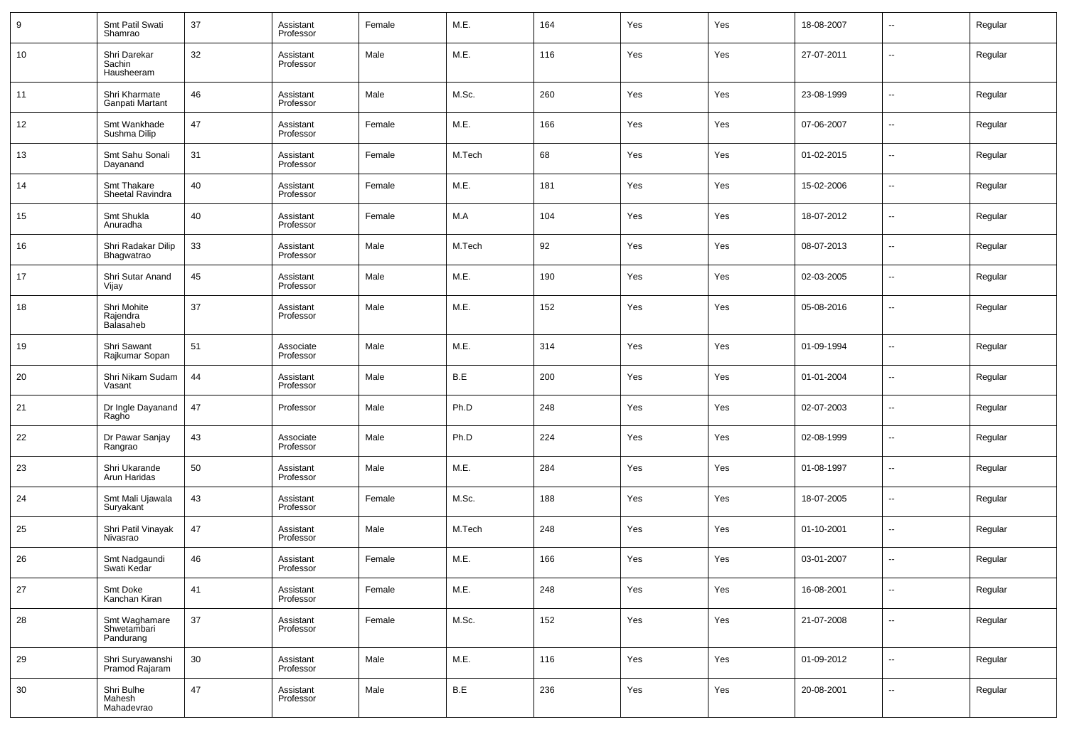| 9  | Smt Patil Swati<br>Shamrao                | 37 | Assistant<br>Professor | Female | M.E.   | 164 | Yes | Yes | 18-08-2007 | --     | Regular |
|----|-------------------------------------------|----|------------------------|--------|--------|-----|-----|-----|------------|--------|---------|
| 10 | Shri Darekar<br>Sachin<br>Hausheeram      | 32 | Assistant<br>Professor | Male   | M.E.   | 116 | Yes | Yes | 27-07-2011 | --     | Regular |
| 11 | Shri Kharmate<br>Ganpati Martant          | 46 | Assistant<br>Professor | Male   | M.Sc.  | 260 | Yes | Yes | 23-08-1999 | ш.     | Regular |
| 12 | Smt Wankhade<br>Sushma Dilip              | 47 | Assistant<br>Professor | Female | M.E.   | 166 | Yes | Yes | 07-06-2007 | ш.     | Regular |
| 13 | Smt Sahu Sonali<br>Dayanand               | 31 | Assistant<br>Professor | Female | M.Tech | 68  | Yes | Yes | 01-02-2015 | ш.     | Regular |
| 14 | Smt Thakare<br>Sheetal Ravindra           | 40 | Assistant<br>Professor | Female | M.E.   | 181 | Yes | Yes | 15-02-2006 | ш.     | Regular |
| 15 | Smt Shukla<br>Anuradha                    | 40 | Assistant<br>Professor | Female | M.A    | 104 | Yes | Yes | 18-07-2012 | ш.     | Regular |
| 16 | Shri Radakar Dilip<br>Bhagwatrao          | 33 | Assistant<br>Professor | Male   | M.Tech | 92  | Yes | Yes | 08-07-2013 | ш.     | Regular |
| 17 | Shri Sutar Anand<br>Vijay                 | 45 | Assistant<br>Professor | Male   | M.E.   | 190 | Yes | Yes | 02-03-2005 | ш.     | Regular |
| 18 | Shri Mohite<br>Rajendra<br>Balasaheb      | 37 | Assistant<br>Professor | Male   | M.E.   | 152 | Yes | Yes | 05-08-2016 | ш.     | Regular |
| 19 | Shri Sawant<br>Rajkumar Sopan             | 51 | Associate<br>Professor | Male   | M.E.   | 314 | Yes | Yes | 01-09-1994 | --     | Regular |
| 20 | Shri Nikam Sudam<br>Vasant                | 44 | Assistant<br>Professor | Male   | B.E    | 200 | Yes | Yes | 01-01-2004 | --     | Regular |
| 21 | Dr Ingle Dayanand<br>Ragho                | 47 | Professor              | Male   | Ph.D   | 248 | Yes | Yes | 02-07-2003 | --     | Regular |
| 22 | Dr Pawar Sanjay<br>Rangrao                | 43 | Associate<br>Professor | Male   | Ph.D   | 224 | Yes | Yes | 02-08-1999 | --     | Regular |
| 23 | Shri Ukarande<br>Arun Haridas             | 50 | Assistant<br>Professor | Male   | M.E.   | 284 | Yes | Yes | 01-08-1997 | --     | Regular |
| 24 | Smt Mali Ujawala<br>Suryakant             | 43 | Assistant<br>Professor | Female | M.Sc.  | 188 | Yes | Yes | 18-07-2005 | --     | Regular |
| 25 | Shri Patil Vinayak<br>Nivasrao            | 47 | Assistant<br>Professor | Male   | M.Tech | 248 | Yes | Yes | 01-10-2001 | --     | Regular |
| 26 | Smt Nadgaundi<br>Swati Kedar              | 46 | Assistant<br>Professor | Female | M.E.   | 166 | Yes | Yes | 03-01-2007 | --     | Regular |
| 27 | Smt Doke<br>Kanchan Kiran                 | 41 | Assistant<br>Professor | Female | M.E.   | 248 | Yes | Yes | 16-08-2001 | $\sim$ | Regular |
| 28 | Smt Waghamare<br>Shwetambari<br>Pandurang | 37 | Assistant<br>Professor | Female | M.Sc.  | 152 | Yes | Yes | 21-07-2008 | ш,     | Regular |
| 29 | Shri Suryawanshi<br>Pramod Rajaram        | 30 | Assistant<br>Professor | Male   | M.E.   | 116 | Yes | Yes | 01-09-2012 | $\sim$ | Regular |
| 30 | Shri Bulhe<br>Mahesh<br>Mahadevrao        | 47 | Assistant<br>Professor | Male   | B.E    | 236 | Yes | Yes | 20-08-2001 | $\sim$ | Regular |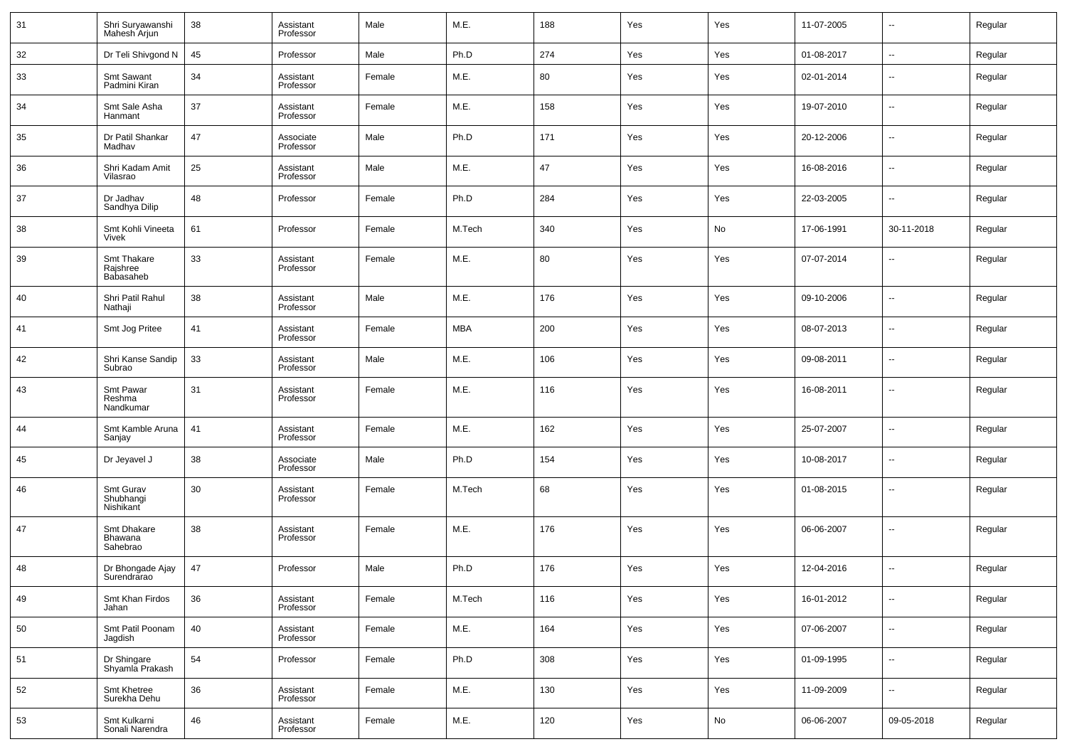| 31 | Shri Suryawanshi<br>Mahesh Arjun     | 38 | Assistant<br>Professor | Male   | M.E.       | 188 | Yes | Yes | 11-07-2005 | $\overline{\phantom{a}}$ | Regular |
|----|--------------------------------------|----|------------------------|--------|------------|-----|-----|-----|------------|--------------------------|---------|
| 32 | Dr Teli Shivgond N                   | 45 | Professor              | Male   | Ph.D       | 274 | Yes | Yes | 01-08-2017 | $\overline{\phantom{a}}$ | Regular |
| 33 | Smt Sawant<br>Padmini Kiran          | 34 | Assistant<br>Professor | Female | M.E.       | 80  | Yes | Yes | 02-01-2014 | $\sim$                   | Regular |
| 34 | Smt Sale Asha<br>Hanmant             | 37 | Assistant<br>Professor | Female | M.E.       | 158 | Yes | Yes | 19-07-2010 | $\overline{\phantom{a}}$ | Regular |
| 35 | Dr Patil Shankar<br>Madhav           | 47 | Associate<br>Professor | Male   | Ph.D       | 171 | Yes | Yes | 20-12-2006 | $\overline{\phantom{a}}$ | Regular |
| 36 | Shri Kadam Amit<br>Vilasrao          | 25 | Assistant<br>Professor | Male   | M.E.       | 47  | Yes | Yes | 16-08-2016 | $\overline{\phantom{a}}$ | Regular |
| 37 | Dr Jadhav<br>Sandhya Dilip           | 48 | Professor              | Female | Ph.D       | 284 | Yes | Yes | 22-03-2005 | $\overline{\phantom{a}}$ | Regular |
| 38 | Smt Kohli Vineeta<br>Vivek           | 61 | Professor              | Female | M.Tech     | 340 | Yes | No  | 17-06-1991 | 30-11-2018               | Regular |
| 39 | Smt Thakare<br>Rajshree<br>Babasaheb | 33 | Assistant<br>Professor | Female | M.E.       | 80  | Yes | Yes | 07-07-2014 | --                       | Regular |
| 40 | Shri Patil Rahul<br>Nathaji          | 38 | Assistant<br>Professor | Male   | M.E.       | 176 | Yes | Yes | 09-10-2006 | ш,                       | Regular |
| 41 | Smt Jog Pritee                       | 41 | Assistant<br>Professor | Female | <b>MBA</b> | 200 | Yes | Yes | 08-07-2013 | ш,                       | Regular |
| 42 | Shri Kanse Sandip<br>Subrao          | 33 | Assistant<br>Professor | Male   | M.E.       | 106 | Yes | Yes | 09-08-2011 | ш,                       | Regular |
| 43 | Smt Pawar<br>Reshma<br>Nandkumar     | 31 | Assistant<br>Professor | Female | M.E.       | 116 | Yes | Yes | 16-08-2011 | --                       | Regular |
| 44 | Smt Kamble Aruna<br>Sanjay           | 41 | Assistant<br>Professor | Female | M.E.       | 162 | Yes | Yes | 25-07-2007 | --                       | Regular |
| 45 | Dr Jeyavel J                         | 38 | Associate<br>Professor | Male   | Ph.D       | 154 | Yes | Yes | 10-08-2017 | ш,                       | Regular |
| 46 | Smt Gurav<br>Shubhangi<br>Nishikant  | 30 | Assistant<br>Professor | Female | M.Tech     | 68  | Yes | Yes | 01-08-2015 | --                       | Regular |
| 47 | Smt Dhakare<br>Bhawana<br>Sahebrao   | 38 | Assistant<br>Professor | Female | M.E.       | 176 | Yes | Yes | 06-06-2007 | --                       | Regular |
| 48 | Dr Bhongade Ajay<br>Surendrarao      | 47 | Professor              | Male   | Ph.D       | 176 | Yes | Yes | 12-04-2016 | --                       | Regular |
| 49 | Smt Khan Firdos<br>Jahan             | 36 | Assistant<br>Professor | Female | M.Tech     | 116 | Yes | Yes | 16-01-2012 | $\overline{\phantom{a}}$ | Regular |
| 50 | Smt Patil Poonam<br>Jagdish          | 40 | Assistant<br>Professor | Female | M.E.       | 164 | Yes | Yes | 07-06-2007 | $\overline{\phantom{a}}$ | Regular |
| 51 | Dr Shingare<br>Shyamla Prakash       | 54 | Professor              | Female | Ph.D       | 308 | Yes | Yes | 01-09-1995 | $\overline{\phantom{a}}$ | Regular |
| 52 | Smt Khetree<br>Surekha Dehu          | 36 | Assistant<br>Professor | Female | M.E.       | 130 | Yes | Yes | 11-09-2009 | $\overline{\phantom{a}}$ | Regular |
| 53 | Smt Kulkarni<br>Sonali Narendra      | 46 | Assistant<br>Professor | Female | M.E.       | 120 | Yes | No  | 06-06-2007 | 09-05-2018               | Regular |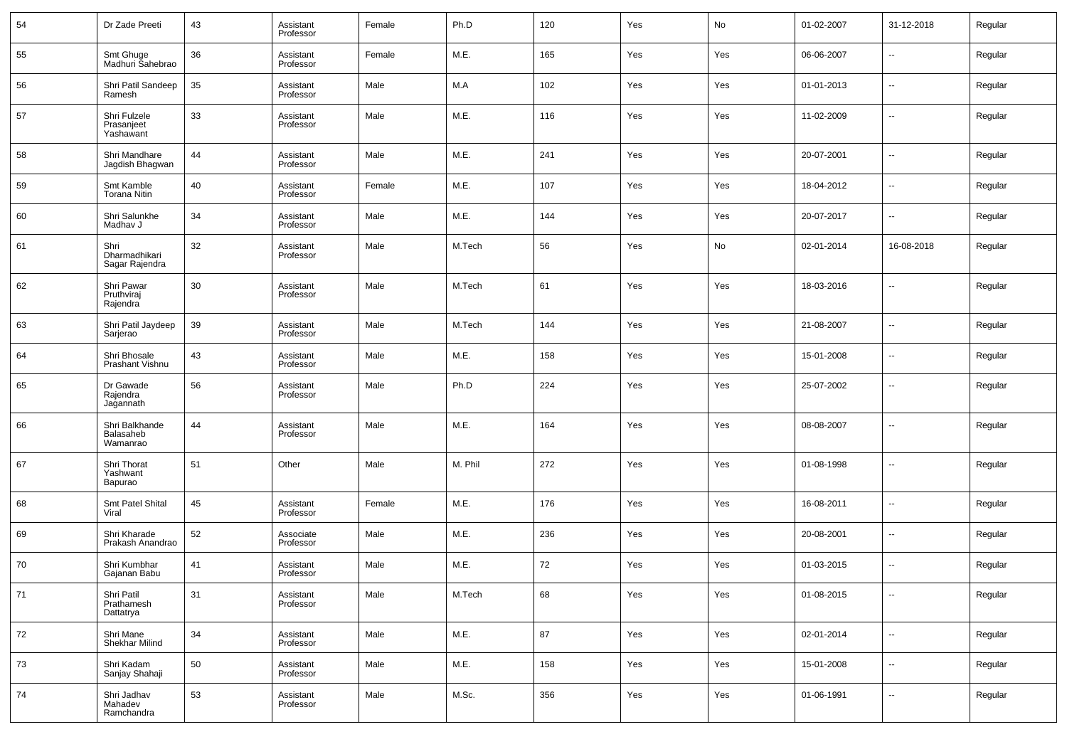| 54 | Dr Zade Preeti                          | 43 | Assistant<br>Professor | Female | Ph.D    | 120 | Yes | No  | 01-02-2007 | 31-12-2018               | Regular |
|----|-----------------------------------------|----|------------------------|--------|---------|-----|-----|-----|------------|--------------------------|---------|
| 55 | Smt Ghuge<br>Madhuri Sahebrao           | 36 | Assistant<br>Professor | Female | M.E.    | 165 | Yes | Yes | 06-06-2007 | $\overline{\phantom{a}}$ | Regular |
| 56 | Shri Patil Sandeep<br>Ramesh            | 35 | Assistant<br>Professor | Male   | M.A     | 102 | Yes | Yes | 01-01-2013 | н.                       | Regular |
| 57 | Shri Fulzele<br>Prasanjeet<br>Yashawant | 33 | Assistant<br>Professor | Male   | M.E.    | 116 | Yes | Yes | 11-02-2009 | $\overline{\phantom{a}}$ | Regular |
| 58 | Shri Mandhare<br>Jagdish Bhagwan        | 44 | Assistant<br>Professor | Male   | M.E.    | 241 | Yes | Yes | 20-07-2001 | $\overline{\phantom{a}}$ | Regular |
| 59 | Smt Kamble<br><b>Torana Nitin</b>       | 40 | Assistant<br>Professor | Female | M.E.    | 107 | Yes | Yes | 18-04-2012 | ÷.                       | Regular |
| 60 | Shri Salunkhe<br>Madhav J               | 34 | Assistant<br>Professor | Male   | M.E.    | 144 | Yes | Yes | 20-07-2017 | $\overline{\phantom{a}}$ | Regular |
| 61 | Shri<br>Dharmadhikari<br>Sagar Rajendra | 32 | Assistant<br>Professor | Male   | M.Tech  | 56  | Yes | No  | 02-01-2014 | 16-08-2018               | Regular |
| 62 | Shri Pawar<br>Pruthviraj<br>Rajendra    | 30 | Assistant<br>Professor | Male   | M.Tech  | 61  | Yes | Yes | 18-03-2016 | --                       | Regular |
| 63 | Shri Patil Jaydeep<br>Sarjerao          | 39 | Assistant<br>Professor | Male   | M.Tech  | 144 | Yes | Yes | 21-08-2007 | --                       | Regular |
| 64 | Shri Bhosale<br>Prashant Vishnu         | 43 | Assistant<br>Professor | Male   | M.E.    | 158 | Yes | Yes | 15-01-2008 | --                       | Regular |
| 65 | Dr Gawade<br>Rajendra<br>Jagannath      | 56 | Assistant<br>Professor | Male   | Ph.D    | 224 | Yes | Yes | 25-07-2002 | --                       | Regular |
| 66 | Shri Balkhande<br>Balasaheb<br>Wamanrao | 44 | Assistant<br>Professor | Male   | M.E.    | 164 | Yes | Yes | 08-08-2007 | ۵.                       | Regular |
| 67 | Shri Thorat<br>Yashwant<br>Bapurao      | 51 | Other                  | Male   | M. Phil | 272 | Yes | Yes | 01-08-1998 | --                       | Regular |
| 68 | Smt Patel Shital<br>Viral               | 45 | Assistant<br>Professor | Female | M.E.    | 176 | Yes | Yes | 16-08-2011 | --                       | Regular |
| 69 | Shri Kharade<br>Prakash Anandrao        | 52 | Associate<br>Professor | Male   | M.E.    | 236 | Yes | Yes | 20-08-2001 | --                       | Regular |
| 70 | Shri Kumbhar<br>Gajanan Babu            | 41 | Assistant<br>Professor | Male   | M.E.    | 72  | Yes | Yes | 01-03-2015 | --                       | Regular |
| 71 | Shri Patil<br>Prathamesh<br>Dattatrya   | 31 | Assistant<br>Professor | Male   | M.Tech  | 68  | Yes | Yes | 01-08-2015 | --                       | Regular |
| 72 | Shri Mane<br>Shekhar Milind             | 34 | Assistant<br>Professor | Male   | M.E.    | 87  | Yes | Yes | 02-01-2014 | ÷.                       | Regular |
| 73 | Shri Kadam<br>Sanjay Shahaji            | 50 | Assistant<br>Professor | Male   | M.E.    | 158 | Yes | Yes | 15-01-2008 | ÷.                       | Regular |
| 74 | Shri Jadhav<br>Mahadev<br>Ramchandra    | 53 | Assistant<br>Professor | Male   | M.Sc.   | 356 | Yes | Yes | 01-06-1991 | Ξ.                       | Regular |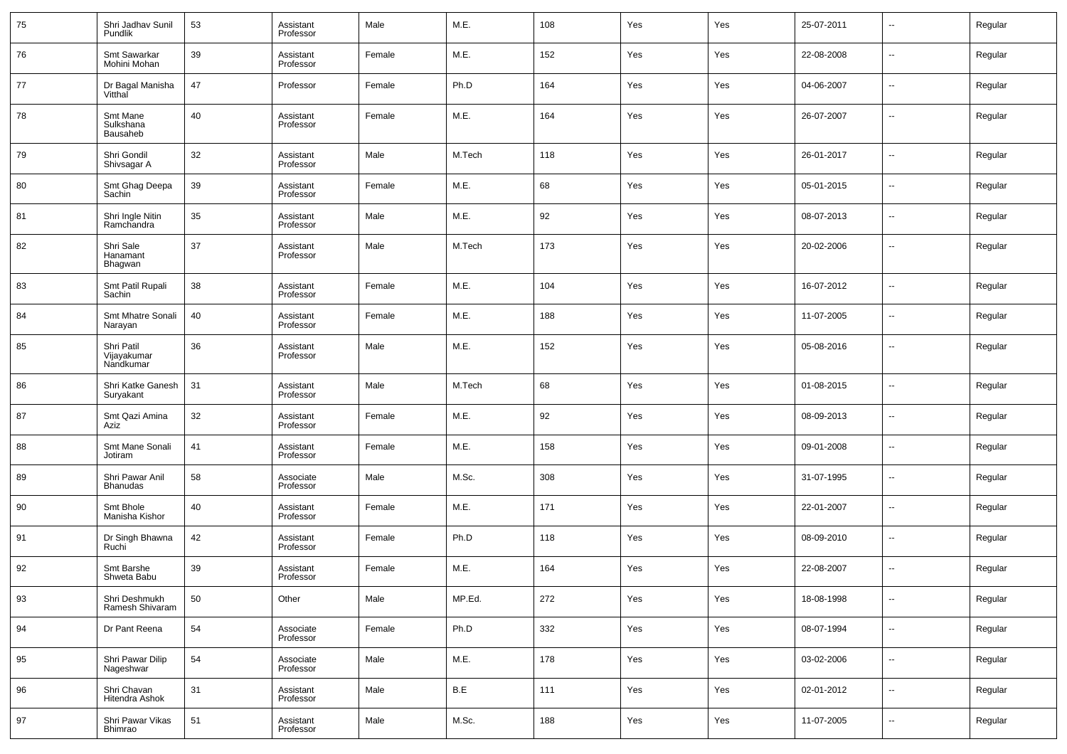| 75 | Shri Jadhav Sunil<br>Pundlik           | 53 | Assistant<br>Professor | Male   | M.E.   | 108 | Yes | Yes | 25-07-2011 | $\overline{\phantom{a}}$ | Regular |
|----|----------------------------------------|----|------------------------|--------|--------|-----|-----|-----|------------|--------------------------|---------|
| 76 | Smt Sawarkar<br>Mohini Mohan           | 39 | Assistant<br>Professor | Female | M.E.   | 152 | Yes | Yes | 22-08-2008 | $\overline{\phantom{a}}$ | Regular |
| 77 | Dr Bagal Manisha<br>Vitthal            | 47 | Professor              | Female | Ph.D   | 164 | Yes | Yes | 04-06-2007 | $\overline{\phantom{a}}$ | Regular |
| 78 | Smt Mane<br>Sulkshana<br>Bausaheb      | 40 | Assistant<br>Professor | Female | M.E.   | 164 | Yes | Yes | 26-07-2007 | $\overline{\phantom{a}}$ | Regular |
| 79 | Shri Gondil<br>Shivsagar A             | 32 | Assistant<br>Professor | Male   | M.Tech | 118 | Yes | Yes | 26-01-2017 | $\mathbf{u}$             | Regular |
| 80 | Smt Ghag Deepa<br>Sachin               | 39 | Assistant<br>Professor | Female | M.E.   | 68  | Yes | Yes | 05-01-2015 | $\ddotsc$                | Regular |
| 81 | Shri Ingle Nitin<br>Ramchandra         | 35 | Assistant<br>Professor | Male   | M.E.   | 92  | Yes | Yes | 08-07-2013 | $\overline{\phantom{a}}$ | Regular |
| 82 | Shri Sale<br>Hanamant<br>Bhagwan       | 37 | Assistant<br>Professor | Male   | M.Tech | 173 | Yes | Yes | 20-02-2006 | $\overline{\phantom{a}}$ | Regular |
| 83 | Smt Patil Rupali<br>Sachin             | 38 | Assistant<br>Professor | Female | M.E.   | 104 | Yes | Yes | 16-07-2012 | -−                       | Regular |
| 84 | Smt Mhatre Sonali<br>Narayan           | 40 | Assistant<br>Professor | Female | M.E.   | 188 | Yes | Yes | 11-07-2005 | -−                       | Regular |
| 85 | Shri Patil<br>Vijayakumar<br>Nandkumar | 36 | Assistant<br>Professor | Male   | M.E.   | 152 | Yes | Yes | 05-08-2016 | --                       | Regular |
| 86 | Shri Katke Ganesh<br>Suryakant         | 31 | Assistant<br>Professor | Male   | M.Tech | 68  | Yes | Yes | 01-08-2015 | -−                       | Regular |
| 87 | Smt Qazi Amina<br>Aziz                 | 32 | Assistant<br>Professor | Female | M.E.   | 92  | Yes | Yes | 08-09-2013 | $\overline{\phantom{a}}$ | Regular |
| 88 | Smt Mane Sonali<br>Jotiram             | 41 | Assistant<br>Professor | Female | M.E.   | 158 | Yes | Yes | 09-01-2008 | -−                       | Regular |
| 89 | Shri Pawar Anil<br><b>Bhanudas</b>     | 58 | Associate<br>Professor | Male   | M.Sc.  | 308 | Yes | Yes | 31-07-1995 | $\overline{\phantom{a}}$ | Regular |
| 90 | Smt Bhole<br>Manisha Kishor            | 40 | Assistant<br>Professor | Female | M.E.   | 171 | Yes | Yes | 22-01-2007 | -−                       | Regular |
| 91 | Dr Singh Bhawna<br>Ruchi               | 42 | Assistant<br>Professor | Female | Ph.D   | 118 | Yes | Yes | 08-09-2010 | $\overline{\phantom{a}}$ | Regular |
| 92 | Smt Barshe<br>Shweta Babu              | 39 | Assistant<br>Professor | Female | M.E.   | 164 | Yes | Yes | 22-08-2007 | -−                       | Regular |
| 93 | Shri Deshmukh<br>Ramesh Shivaram       | 50 | Other                  | Male   | MP.Ed. | 272 | Yes | Yes | 18-08-1998 | -−                       | Regular |
| 94 | Dr Pant Reena                          | 54 | Associate<br>Professor | Female | Ph.D   | 332 | Yes | Yes | 08-07-1994 | $\overline{\phantom{a}}$ | Regular |
| 95 | Shri Pawar Dilip<br>Nageshwar          | 54 | Associate<br>Professor | Male   | M.E.   | 178 | Yes | Yes | 03-02-2006 | --                       | Regular |
| 96 | Shri Chavan<br>Hitendra Ashok          | 31 | Assistant<br>Professor | Male   | B.E    | 111 | Yes | Yes | 02-01-2012 | $\overline{\phantom{a}}$ | Regular |
| 97 | Shri Pawar Vikas<br>Bhimrao            | 51 | Assistant<br>Professor | Male   | M.Sc.  | 188 | Yes | Yes | 11-07-2005 | ۰.                       | Regular |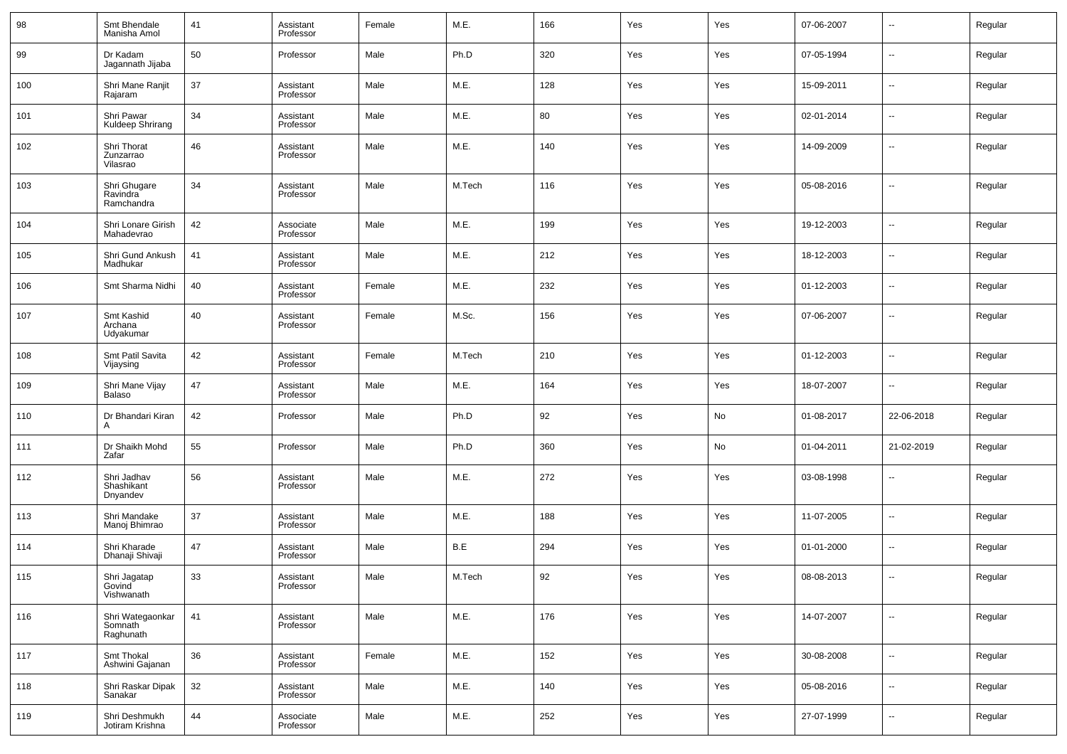| 98  | Smt Bhendale<br>Manisha Amol             | 41 | Assistant<br>Professor | Female | M.E.   | 166 | Yes | Yes | 07-06-2007 | $\sim$         | Regular |
|-----|------------------------------------------|----|------------------------|--------|--------|-----|-----|-----|------------|----------------|---------|
| 99  | Dr Kadam<br>Jagannath Jijaba             | 50 | Professor              | Male   | Ph.D   | 320 | Yes | Yes | 07-05-1994 | $\sim$         | Regular |
| 100 | Shri Mane Ranjit<br>Rajaram              | 37 | Assistant<br>Professor | Male   | M.E.   | 128 | Yes | Yes | 15-09-2011 | $\sim$         | Regular |
| 101 | Shri Pawar<br>Kuldeep Shrirang           | 34 | Assistant<br>Professor | Male   | M.E.   | 80  | Yes | Yes | 02-01-2014 | $\sim$         | Regular |
| 102 | Shri Thorat<br>Zunzarrao<br>Vilasrao     | 46 | Assistant<br>Professor | Male   | M.E.   | 140 | Yes | Yes | 14-09-2009 | $\sim$         | Regular |
| 103 | Shri Ghugare<br>Ravindra<br>Ramchandra   | 34 | Assistant<br>Professor | Male   | M.Tech | 116 | Yes | Yes | 05-08-2016 | --             | Regular |
| 104 | Shri Lonare Girish<br>Mahadevrao         | 42 | Associate<br>Professor | Male   | M.E.   | 199 | Yes | Yes | 19-12-2003 | --             | Regular |
| 105 | Shri Gund Ankush<br>Madhukar             | 41 | Assistant<br>Professor | Male   | M.E.   | 212 | Yes | Yes | 18-12-2003 | --             | Regular |
| 106 | Smt Sharma Nidhi                         | 40 | Assistant<br>Professor | Female | M.E.   | 232 | Yes | Yes | 01-12-2003 | --             | Regular |
| 107 | Smt Kashid<br>Archana<br>Udyakumar       | 40 | Assistant<br>Professor | Female | M.Sc.  | 156 | Yes | Yes | 07-06-2007 | --             | Regular |
| 108 | Smt Patil Savita<br>Vijaysing            | 42 | Assistant<br>Professor | Female | M.Tech | 210 | Yes | Yes | 01-12-2003 | $\sim$         | Regular |
| 109 | Shri Mane Vijay<br>Balaso                | 47 | Assistant<br>Professor | Male   | M.E.   | 164 | Yes | Yes | 18-07-2007 | $\sim$         | Regular |
| 110 | Dr Bhandari Kiran<br>A                   | 42 | Professor              | Male   | Ph.D   | 92  | Yes | No  | 01-08-2017 | 22-06-2018     | Regular |
| 111 | Dr Shaikh Mohd<br>Zafar                  | 55 | Professor              | Male   | Ph.D   | 360 | Yes | No  | 01-04-2011 | 21-02-2019     | Regular |
| 112 | Shri Jadhav<br>Shashikant<br>Dnyandev    | 56 | Assistant<br>Professor | Male   | M.E.   | 272 | Yes | Yes | 03-08-1998 | --             | Regular |
| 113 | Shri Mandake<br>Manoj Bhimrao            | 37 | Assistant<br>Professor | Male   | M.E.   | 188 | Yes | Yes | 11-07-2005 | --             | Regular |
| 114 | Shri Kharade<br>Dhanaji Shivaji          | 47 | Assistant<br>Professor | Male   | B.E    | 294 | Yes | Yes | 01-01-2000 | --             | Regular |
| 115 | Shri Jagatap<br>Govind<br>Vishwanath     | 33 | Assistant<br>Professor | Male   | M.Tech | 92  | Yes | Yes | 08-08-2013 | $\overline{a}$ | Regular |
| 116 | Shri Wategaonkar<br>Somnath<br>Raghunath | 41 | Assistant<br>Professor | Male   | M.E.   | 176 | Yes | Yes | 14-07-2007 | $\sim$         | Regular |
| 117 | Smt Thokal<br>Ashwini Gajanan            | 36 | Assistant<br>Professor | Female | M.E.   | 152 | Yes | Yes | 30-08-2008 | $\sim$         | Regular |
| 118 | Shri Raskar Dipak<br>Sanakar             | 32 | Assistant<br>Professor | Male   | M.E.   | 140 | Yes | Yes | 05-08-2016 | $\sim$         | Regular |
| 119 | Shri Deshmukh<br>Jotiram Krishna         | 44 | Associate<br>Professor | Male   | M.E.   | 252 | Yes | Yes | 27-07-1999 | н.             | Regular |